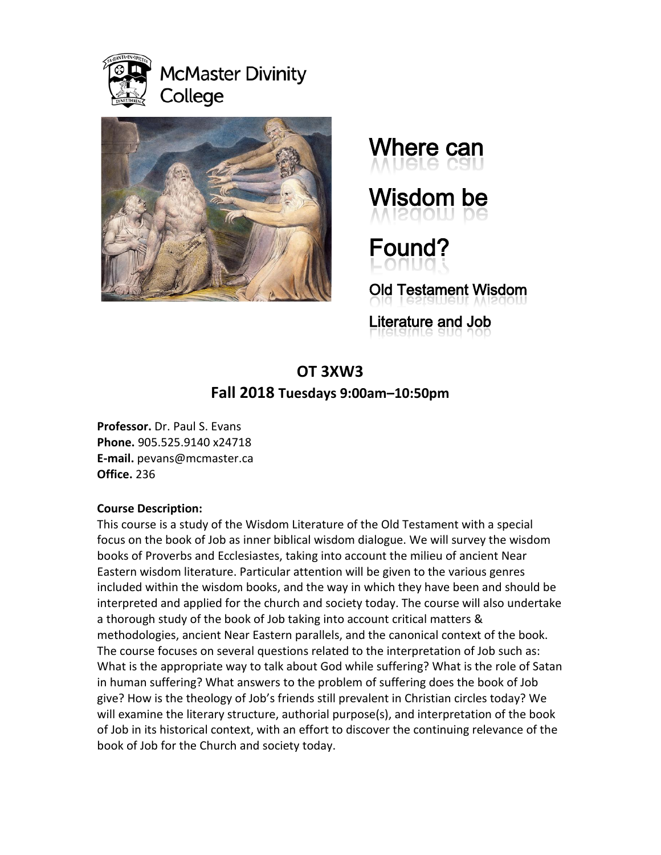

# **McMaster Divinity** College





Wisdom be

Found?

Old Testament Wisdom

Literature and Job

# **OT 3XW3 Fall 2018 Tuesdays 9:00am–10:50pm**

**Professor.** Dr. Paul S. Evans **Phone.** 905.525.9140 x24718 **E-mail.** pevans@mcmaster.ca **Office.** 236

# **Course Description:**

This course is a study of the Wisdom Literature of the Old Testament with a special focus on the book of Job as inner biblical wisdom dialogue. We will survey the wisdom books of Proverbs and Ecclesiastes, taking into account the milieu of ancient Near Eastern wisdom literature. Particular attention will be given to the various genres included within the wisdom books, and the way in which they have been and should be interpreted and applied for the church and society today. The course will also undertake a thorough study of the book of Job taking into account critical matters & methodologies, ancient Near Eastern parallels, and the canonical context of the book. The course focuses on several questions related to the interpretation of Job such as: What is the appropriate way to talk about God while suffering? What is the role of Satan in human suffering? What answers to the problem of suffering does the book of Job give? How is the theology of Job's friends still prevalent in Christian circles today? We will examine the literary structure, authorial purpose(s), and interpretation of the book of Job in its historical context, with an effort to discover the continuing relevance of the book of Job for the Church and society today.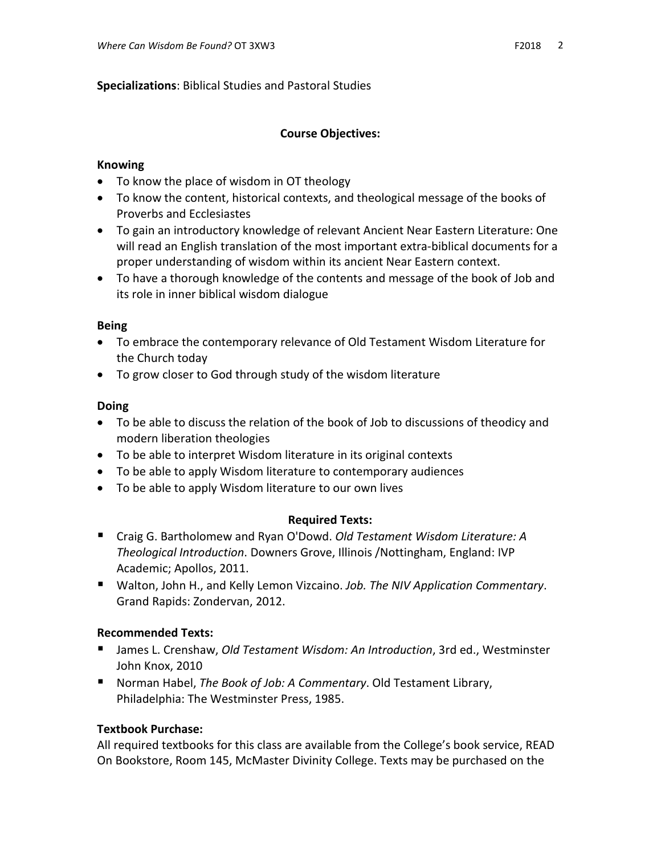# **Specializations**: Biblical Studies and Pastoral Studies

#### **Course Objectives:**

#### **Knowing**

- To know the place of wisdom in OT theology
- To know the content, historical contexts, and theological message of the books of Proverbs and Ecclesiastes
- To gain an introductory knowledge of relevant Ancient Near Eastern Literature: One will read an English translation of the most important extra-biblical documents for a proper understanding of wisdom within its ancient Near Eastern context.
- To have a thorough knowledge of the contents and message of the book of Job and its role in inner biblical wisdom dialogue

#### **Being**

- To embrace the contemporary relevance of Old Testament Wisdom Literature for the Church today
- To grow closer to God through study of the wisdom literature

#### **Doing**

- To be able to discuss the relation of the book of Job to discussions of theodicy and modern liberation theologies
- To be able to interpret Wisdom literature in its original contexts
- To be able to apply Wisdom literature to contemporary audiences
- To be able to apply Wisdom literature to our own lives

# **Required Texts:**

- Craig G. Bartholomew and Ryan O'Dowd. *Old Testament Wisdom Literature: A Theological Introduction*. Downers Grove, Illinois /Nottingham, England: IVP Academic; Apollos, 2011.
- Walton, John H., and Kelly Lemon Vizcaino. *Job. The NIV Application Commentary*. Grand Rapids: Zondervan, 2012.

# **Recommended Texts:**

- James L. Crenshaw, *Old Testament Wisdom: An Introduction*, 3rd ed., Westminster John Knox, 2010
- Norman Habel, *The Book of Job: A Commentary*. Old Testament Library, Philadelphia: The Westminster Press, 1985.

# **Textbook Purchase:**

All required textbooks for this class are available from the College's book service, READ On Bookstore, Room 145, McMaster Divinity College. Texts may be purchased on the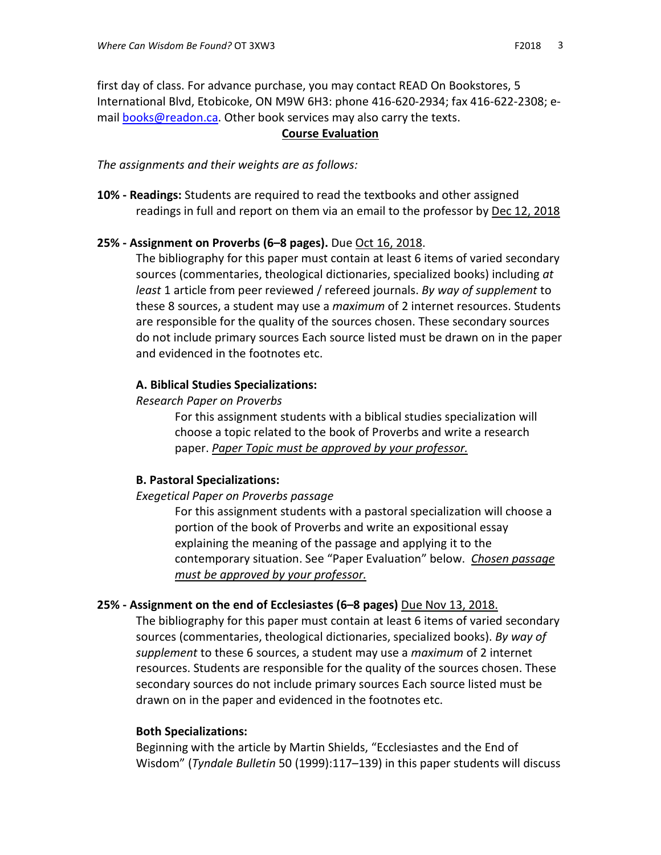first day of class. For advance purchase, you may contact READ On Bookstores, 5 International Blvd, Etobicoke, ON M9W 6H3: phone 416-620-2934; fax 416-622-2308; email [books@readon.ca.](mailto:books@readon.ca) Other book services may also carry the texts.

## **Course Evaluation**

*The assignments and their weights are as follows:*

**10% - Readings:** Students are required to read the textbooks and other assigned readings in full and report on them via an email to the professor by Dec 12, 2018

#### **25% - Assignment on Proverbs (6–8 pages).** Due Oct 16, 2018.

The bibliography for this paper must contain at least 6 items of varied secondary sources (commentaries, theological dictionaries, specialized books) including *at least* 1 article from peer reviewed / refereed journals. *By way of supplement* to these 8 sources, a student may use a *maximum* of 2 internet resources. Students are responsible for the quality of the sources chosen. These secondary sources do not include primary sources Each source listed must be drawn on in the paper and evidenced in the footnotes etc.

#### **A. Biblical Studies Specializations:**

#### *Research Paper on Proverbs*

For this assignment students with a biblical studies specialization will choose a topic related to the book of Proverbs and write a research paper. *Paper Topic must be approved by your professor.*

# **B. Pastoral Specializations:**

#### *Exegetical Paper on Proverbs passage*

For this assignment students with a pastoral specialization will choose a portion of the book of Proverbs and write an expositional essay explaining the meaning of the passage and applying it to the contemporary situation. See "Paper Evaluation" below. *Chosen passage must be approved by your professor.*

# **25% - Assignment on the end of Ecclesiastes (6–8 pages)** Due Nov 13, 2018.

The bibliography for this paper must contain at least 6 items of varied secondary sources (commentaries, theological dictionaries, specialized books). *By way of supplement* to these 6 sources, a student may use a *maximum* of 2 internet resources. Students are responsible for the quality of the sources chosen. These secondary sources do not include primary sources Each source listed must be drawn on in the paper and evidenced in the footnotes etc.

#### **Both Specializations:**

Beginning with the article by Martin Shields, "Ecclesiastes and the End of Wisdom" (*Tyndale Bulletin* 50 (1999):117–139) in this paper students will discuss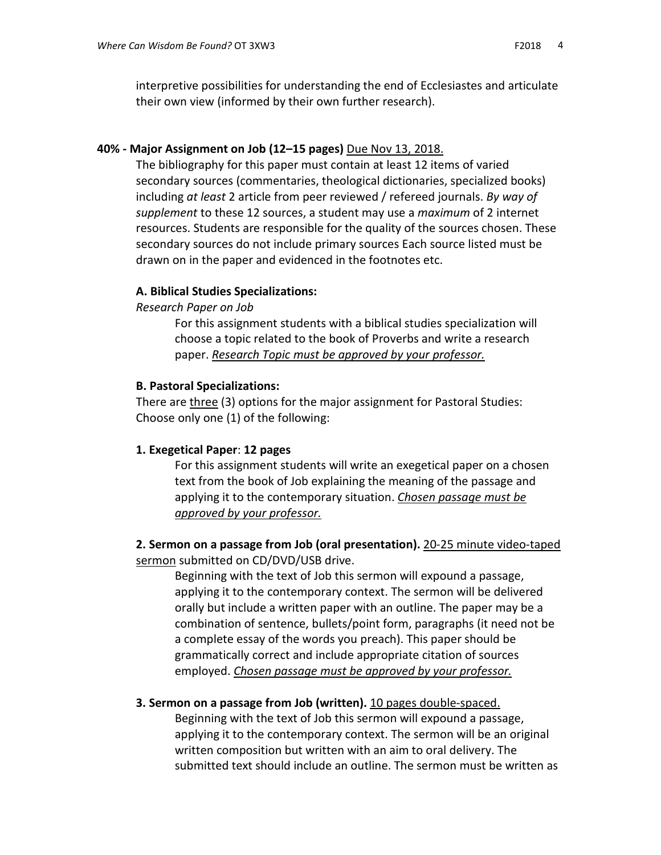interpretive possibilities for understanding the end of Ecclesiastes and articulate their own view (informed by their own further research).

#### **40% - Major Assignment on Job (12–15 pages)** Due Nov 13, 2018.

The bibliography for this paper must contain at least 12 items of varied secondary sources (commentaries, theological dictionaries, specialized books) including *at least* 2 article from peer reviewed / refereed journals. *By way of supplement* to these 12 sources, a student may use a *maximum* of 2 internet resources. Students are responsible for the quality of the sources chosen. These secondary sources do not include primary sources Each source listed must be drawn on in the paper and evidenced in the footnotes etc.

#### **A. Biblical Studies Specializations:**

#### *Research Paper on Job*

For this assignment students with a biblical studies specialization will choose a topic related to the book of Proverbs and write a research paper. *Research Topic must be approved by your professor.*

#### **B. Pastoral Specializations:**

There are three (3) options for the major assignment for Pastoral Studies: Choose only one (1) of the following:

#### **1. Exegetical Paper**: **12 pages**

For this assignment students will write an exegetical paper on a chosen text from the book of Job explaining the meaning of the passage and applying it to the contemporary situation. *Chosen passage must be approved by your professor.*

**2. Sermon on a passage from Job (oral presentation).** 20-25 minute video-taped sermon submitted on CD/DVD/USB drive.

Beginning with the text of Job this sermon will expound a passage, applying it to the contemporary context. The sermon will be delivered orally but include a written paper with an outline. The paper may be a combination of sentence, bullets/point form, paragraphs (it need not be a complete essay of the words you preach). This paper should be grammatically correct and include appropriate citation of sources employed. *Chosen passage must be approved by your professor.*

#### **3. Sermon on a passage from Job (written).** 10 pages double-spaced.

Beginning with the text of Job this sermon will expound a passage, applying it to the contemporary context. The sermon will be an original written composition but written with an aim to oral delivery. The submitted text should include an outline. The sermon must be written as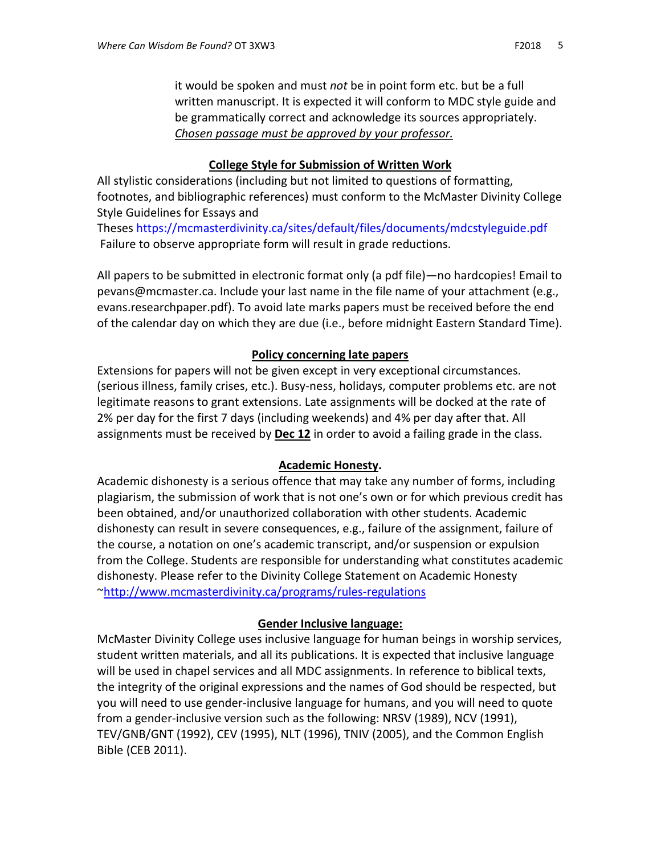it would be spoken and must *not* be in point form etc. but be a full written manuscript. It is expected it will conform to MDC style guide and be grammatically correct and acknowledge its sources appropriately. *Chosen passage must be approved by your professor.*

# **College Style for Submission of Written Work**

All stylistic considerations (including but not limited to questions of formatting, footnotes, and bibliographic references) must conform to the McMaster Divinity College Style Guidelines for Essays and

Theses<https://mcmasterdivinity.ca/sites/default/files/documents/mdcstyleguide.pdf> Failure to observe appropriate form will result in grade reductions.

All papers to be submitted in electronic format only (a pdf file)—no hardcopies! Email to pevans@mcmaster.ca. Include your last name in the file name of your attachment (e.g., evans.researchpaper.pdf). To avoid late marks papers must be received before the end of the calendar day on which they are due (i.e., before midnight Eastern Standard Time).

# **Policy concerning late papers**

Extensions for papers will not be given except in very exceptional circumstances. (serious illness, family crises, etc.). Busy-ness, holidays, computer problems etc. are not legitimate reasons to grant extensions. Late assignments will be docked at the rate of 2% per day for the first 7 days (including weekends) and 4% per day after that. All assignments must be received by **Dec 12** in order to avoid a failing grade in the class.

# **Academic Honesty.**

Academic dishonesty is a serious offence that may take any number of forms, including plagiarism, the submission of work that is not one's own or for which previous credit has been obtained, and/or unauthorized collaboration with other students. Academic dishonesty can result in severe consequences, e.g., failure of the assignment, failure of the course, a notation on one's academic transcript, and/or suspension or expulsion from the College. Students are responsible for understanding what constitutes academic dishonesty. Please refer to the Divinity College Statement on Academic Honesty [~http://www.mcmasterdivinity.ca/programs/rules-regulations](http://www.mcmasterdivinity.ca/programs/rules-regulations)

# **Gender Inclusive language:**

McMaster Divinity College uses inclusive language for human beings in worship services, student written materials, and all its publications. It is expected that inclusive language will be used in chapel services and all MDC assignments. In reference to biblical texts, the integrity of the original expressions and the names of God should be respected, but you will need to use gender-inclusive language for humans, and you will need to quote from a gender-inclusive version such as the following: NRSV (1989), NCV (1991), TEV/GNB/GNT (1992), CEV (1995), NLT (1996), TNIV (2005), and the Common English Bible (CEB 2011).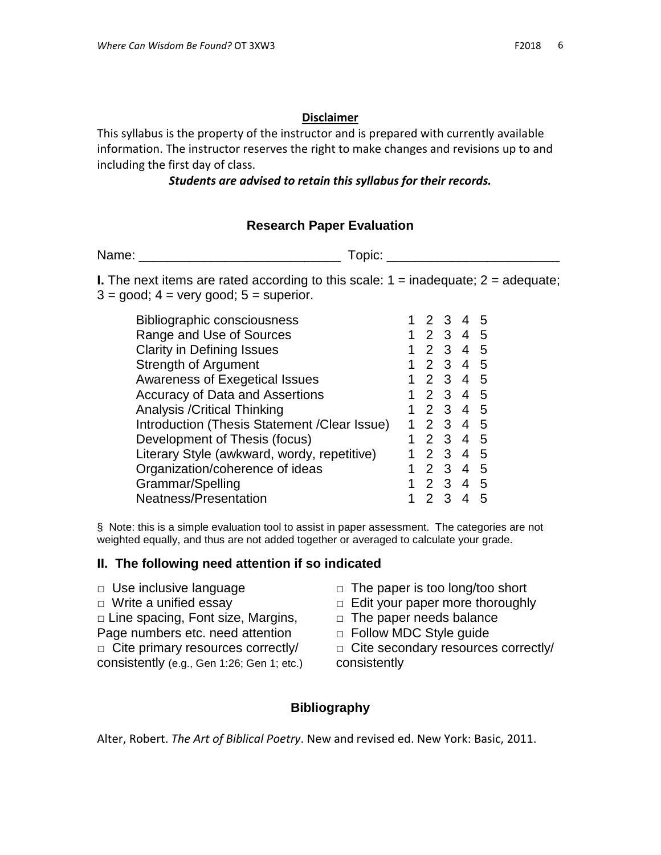#### **Disclaimer**

This syllabus is the property of the instructor and is prepared with currently available information. The instructor reserves the right to make changes and revisions up to and including the first day of class.

#### *Students are advised to retain this syllabus for their records.*

# **Research Paper Evaluation**

Name: Topic:

**I.** The next items are rated according to this scale:  $1 =$  inadequate;  $2 =$  adequate;  $3 =$  good;  $4 =$  very good;  $5 =$  superior.

| <b>Bibliographic consciousness</b>            |   |                | 3            | 4              | .5 |
|-----------------------------------------------|---|----------------|--------------|----------------|----|
| Range and Use of Sources                      | 1 | $\mathcal{P}$  | 3            | 4              | 5  |
| <b>Clarity in Defining Issues</b>             | 1 | $\overline{2}$ | 3            | 4              | .5 |
| Strength of Argument                          | 1 | $\mathcal{P}$  | $\mathbf{3}$ | 4              | 5  |
| <b>Awareness of Exegetical Issues</b>         |   | $\mathcal{P}$  | $\mathbf{3}$ | 4              | 5  |
| <b>Accuracy of Data and Assertions</b>        |   | $\mathcal{P}$  | 3            | 4              | .5 |
| <b>Analysis / Critical Thinking</b>           |   | $\mathcal{P}$  | $\mathbf{3}$ | $\overline{4}$ | -5 |
| Introduction (Thesis Statement / Clear Issue) |   | $\mathcal{P}$  | $\mathbf{3}$ | 4              | 5  |
| Development of Thesis (focus)                 | 1 | $\mathcal{P}$  | 3            | $\overline{4}$ | -5 |
| Literary Style (awkward, wordy, repetitive)   | 1 | $\mathcal{P}$  | 3            | 4              | 5  |
| Organization/coherence of ideas               | 1 | $\mathcal{P}$  | 3            | 4              | 5  |
| Grammar/Spelling                              |   | $\mathcal{P}$  | 3            | 4              | 5  |
| Neatness/Presentation                         |   |                |              |                | 5  |
|                                               |   |                |              |                |    |

§ Note: this is a simple evaluation tool to assist in paper assessment. The categories are not weighted equally, and thus are not added together or averaged to calculate your grade.

#### **II. The following need attention if so indicated**

- 
- 
- □ Line spacing, Font size, Margins,
- Page numbers etc. need attention
- $\Box$  Cite primary resources correctly/ consistently (e.g., Gen 1:26; Gen 1; etc.)
- □ Use inclusive language □ □ The paper is too long/too short
- □ Write a unified essay □ □ Edit your paper more thoroughly
	- $\Box$  The paper needs balance
	- □ Follow MDC Style guide

□ Cite secondary resources correctly/ consistently

# **Bibliography**

Alter, Robert. *The Art of Biblical Poetry*. New and revised ed. New York: Basic, 2011.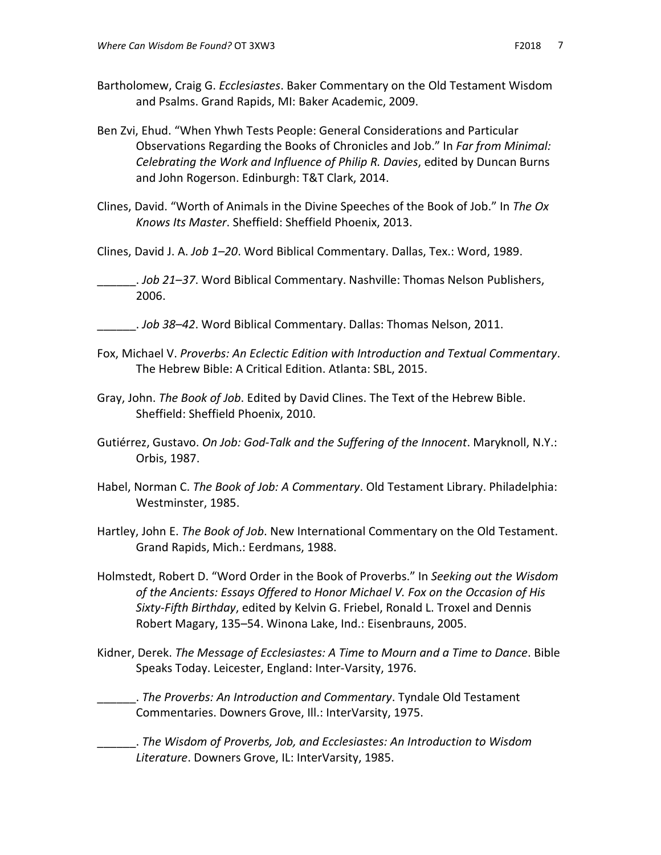- Ben Zvi, Ehud. "When Yhwh Tests People: General Considerations and Particular Observations Regarding the Books of Chronicles and Job." In *Far from Minimal: Celebrating the Work and Influence of Philip R. Davies*, edited by Duncan Burns and John Rogerson. Edinburgh: T&T Clark, 2014.
- Clines, David. "Worth of Animals in the Divine Speeches of the Book of Job." In *The Ox Knows Its Master*. Sheffield: Sheffield Phoenix, 2013.
- Clines, David J. A. *Job 1–20*. Word Biblical Commentary. Dallas, Tex.: Word, 1989.
- \_\_\_\_\_\_. *Job 21–37*. Word Biblical Commentary. Nashville: Thomas Nelson Publishers, 2006.
- \_\_\_\_\_\_. *Job 38–42*. Word Biblical Commentary. Dallas: Thomas Nelson, 2011.
- Fox, Michael V. *Proverbs: An Eclectic Edition with Introduction and Textual Commentary*. The Hebrew Bible: A Critical Edition. Atlanta: SBL, 2015.
- Gray, John. *The Book of Job*. Edited by David Clines. The Text of the Hebrew Bible. Sheffield: Sheffield Phoenix, 2010.
- Gutiérrez, Gustavo. *On Job: God-Talk and the Suffering of the Innocent*. Maryknoll, N.Y.: Orbis, 1987.
- Habel, Norman C. *The Book of Job: A Commentary*. Old Testament Library. Philadelphia: Westminster, 1985.
- Hartley, John E. *The Book of Job*. New International Commentary on the Old Testament. Grand Rapids, Mich.: Eerdmans, 1988.
- Holmstedt, Robert D. "Word Order in the Book of Proverbs." In *Seeking out the Wisdom of the Ancients: Essays Offered to Honor Michael V. Fox on the Occasion of His Sixty-Fifth Birthday*, edited by Kelvin G. Friebel, Ronald L. Troxel and Dennis Robert Magary, 135–54. Winona Lake, Ind.: Eisenbrauns, 2005.
- Kidner, Derek. *The Message of Ecclesiastes: A Time to Mourn and a Time to Dance*. Bible Speaks Today. Leicester, England: Inter-Varsity, 1976.
	- \_\_\_\_\_\_. *The Proverbs: An Introduction and Commentary*. Tyndale Old Testament Commentaries. Downers Grove, Ill.: InterVarsity, 1975.
- \_\_\_\_\_\_. *The Wisdom of Proverbs, Job, and Ecclesiastes: An Introduction to Wisdom Literature*. Downers Grove, IL: InterVarsity, 1985.